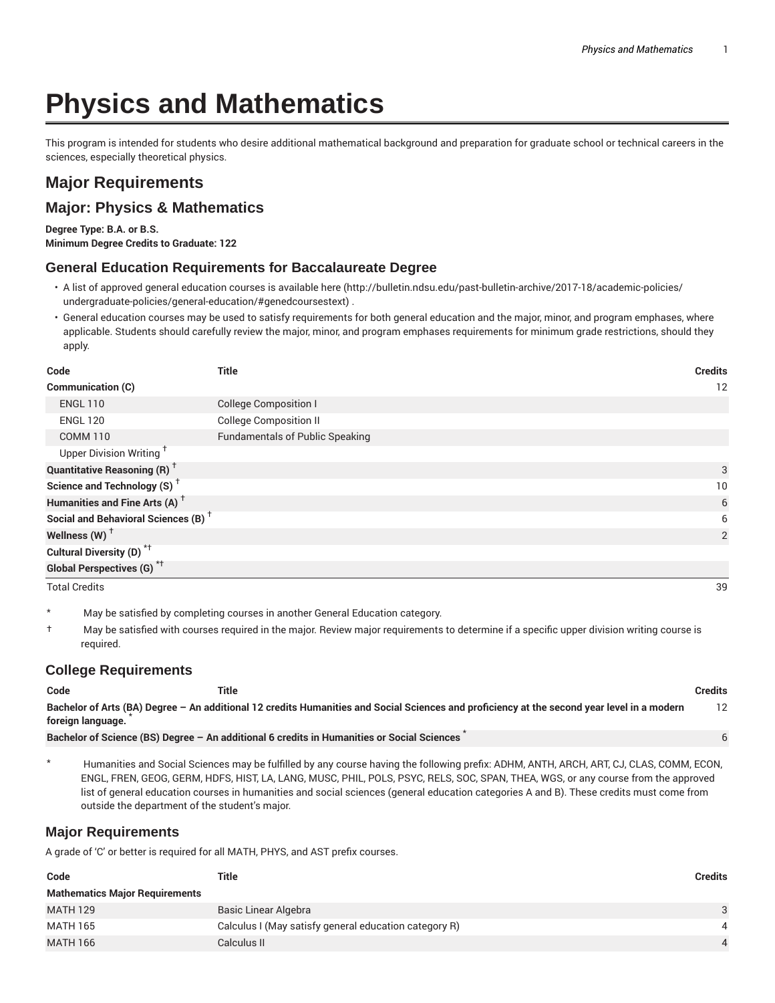# **Physics and Mathematics**

This program is intended for students who desire additional mathematical background and preparation for graduate school or technical careers in the sciences, especially theoretical physics.

## **Major Requirements**

### **Major: Physics & Mathematics**

**Degree Type: B.A. or B.S. Minimum Degree Credits to Graduate: 122**

#### **General Education Requirements for Baccalaureate Degree**

- A list of approved general education courses is available here (http://bulletin.ndsu.edu/past-bulletin-archive/2017-18/academic-policies/ undergraduate-policies/general-education/#genedcoursestext) .
- General education courses may be used to satisfy requirements for both general education and the major, minor, and program emphases, where applicable. Students should carefully review the major, minor, and program emphases requirements for minimum grade restrictions, should they apply.

| Code                                            | <b>Title</b>                           | <b>Credits</b> |
|-------------------------------------------------|----------------------------------------|----------------|
| <b>Communication (C)</b>                        |                                        | 12             |
| <b>ENGL 110</b>                                 | <b>College Composition I</b>           |                |
| <b>ENGL 120</b>                                 | <b>College Composition II</b>          |                |
| <b>COMM 110</b>                                 | <b>Fundamentals of Public Speaking</b> |                |
| Upper Division Writing <sup>†</sup>             |                                        |                |
| <b>Quantitative Reasoning (R)</b> <sup>†</sup>  |                                        | 3              |
| Science and Technology (S) <sup>+</sup>         |                                        | 10             |
| Humanities and Fine Arts (A) <sup>+</sup>       |                                        | 6              |
| Social and Behavioral Sciences (B) <sup>+</sup> |                                        | 6              |
| Wellness $(W)$ <sup>+</sup>                     |                                        | $\overline{2}$ |
| Cultural Diversity (D) <sup>*†</sup>            |                                        |                |
| <b>Global Perspectives (G)</b> * <sup>†</sup>   |                                        |                |
| <b>Total Credits</b>                            |                                        | 39             |

\* May be satisfied by completing courses in another General Education category.

† May be satisfied with courses required in the major. Review major requirements to determine if a specific upper division writing course is required.

#### **College Requirements**

| Code              | Title |                                                                                                                                             | Credits |
|-------------------|-------|---------------------------------------------------------------------------------------------------------------------------------------------|---------|
| foreign language. |       | Bachelor of Arts (BA) Degree - An additional 12 credits Humanities and Social Sciences and proficiency at the second year level in a modern | 12      |
|                   |       | Bachelor of Science (BS) Degree - An additional 6 credits in Humanities or Social Sciences                                                  |         |

\* Humanities and Social Sciences may be fulfilled by any course having the following prefix: ADHM, ANTH, ARCH, ART, CJ, CLAS, COMM, ECON, ENGL, FREN, GEOG, GERM, HDFS, HIST, LA, LANG, MUSC, PHIL, POLS, PSYC, RELS, SOC, SPAN, THEA, WGS, or any course from the approved list of general education courses in humanities and social sciences (general education categories A and B). These credits must come from outside the department of the student's major.

#### **Major Requirements**

A grade of 'C' or better is required for all MATH, PHYS, and AST prefix courses.

| Code                                  | Title                                                 | Credits        |
|---------------------------------------|-------------------------------------------------------|----------------|
| <b>Mathematics Major Requirements</b> |                                                       |                |
| <b>MATH 129</b>                       | Basic Linear Algebra                                  | $\mathbf{3}$   |
| <b>MATH 165</b>                       | Calculus I (May satisfy general education category R) | $\overline{4}$ |
| <b>MATH 166</b>                       | Calculus II                                           |                |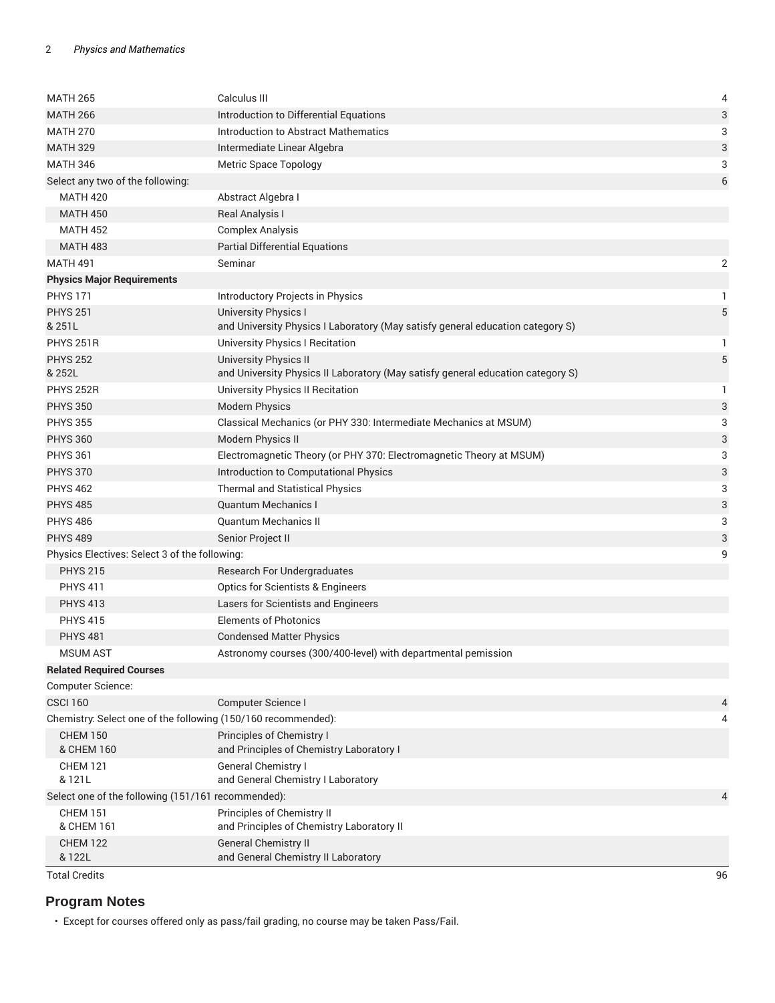| <b>MATH 265</b>                                               | Calculus III                                                                                           | 4                         |
|---------------------------------------------------------------|--------------------------------------------------------------------------------------------------------|---------------------------|
| <b>MATH 266</b>                                               | Introduction to Differential Equations                                                                 | 3                         |
| <b>MATH 270</b>                                               | Introduction to Abstract Mathematics                                                                   | 3                         |
| <b>MATH 329</b>                                               | Intermediate Linear Algebra                                                                            | 3                         |
| <b>MATH 346</b>                                               | Metric Space Topology                                                                                  | 3                         |
| Select any two of the following:                              |                                                                                                        | 6                         |
| <b>MATH 420</b>                                               | Abstract Algebra I                                                                                     |                           |
| <b>MATH 450</b>                                               | Real Analysis I                                                                                        |                           |
| <b>MATH 452</b>                                               | <b>Complex Analysis</b>                                                                                |                           |
| <b>MATH 483</b>                                               | <b>Partial Differential Equations</b>                                                                  |                           |
| <b>MATH 491</b>                                               | Seminar                                                                                                | 2                         |
| <b>Physics Major Requirements</b>                             |                                                                                                        |                           |
| <b>PHYS 171</b>                                               | Introductory Projects in Physics                                                                       | 1                         |
| <b>PHYS 251</b>                                               |                                                                                                        | 5                         |
| & 251L                                                        | University Physics I<br>and University Physics I Laboratory (May satisfy general education category S) |                           |
| <b>PHYS 251R</b>                                              | <b>University Physics I Recitation</b>                                                                 | 1                         |
| <b>PHYS 252</b>                                               | <b>University Physics II</b>                                                                           | $\sqrt{5}$                |
| & 252L                                                        | and University Physics II Laboratory (May satisfy general education category S)                        |                           |
| <b>PHYS 252R</b>                                              | University Physics II Recitation                                                                       | 1                         |
| <b>PHYS 350</b>                                               | <b>Modern Physics</b>                                                                                  | $\ensuremath{\mathsf{3}}$ |
| <b>PHYS 355</b>                                               | Classical Mechanics (or PHY 330: Intermediate Mechanics at MSUM)                                       | 3                         |
| <b>PHYS 360</b>                                               | Modern Physics II                                                                                      | $\ensuremath{\mathsf{3}}$ |
| <b>PHYS 361</b>                                               | Electromagnetic Theory (or PHY 370: Electromagnetic Theory at MSUM)                                    | 3                         |
| <b>PHYS 370</b>                                               | Introduction to Computational Physics                                                                  | 3                         |
| <b>PHYS 462</b>                                               | <b>Thermal and Statistical Physics</b>                                                                 | 3                         |
| <b>PHYS 485</b>                                               | <b>Quantum Mechanics I</b>                                                                             | 3                         |
| <b>PHYS 486</b>                                               | <b>Quantum Mechanics II</b>                                                                            | 3                         |
| <b>PHYS 489</b>                                               | Senior Project II                                                                                      | 3                         |
| Physics Electives: Select 3 of the following:                 |                                                                                                        | 9                         |
| <b>PHYS 215</b>                                               | Research For Undergraduates                                                                            |                           |
| <b>PHYS 411</b>                                               | <b>Optics for Scientists &amp; Engineers</b>                                                           |                           |
| <b>PHYS 413</b>                                               | Lasers for Scientists and Engineers                                                                    |                           |
| <b>PHYS 415</b>                                               | <b>Elements of Photonics</b>                                                                           |                           |
| <b>PHYS 481</b>                                               | <b>Condensed Matter Physics</b>                                                                        |                           |
| <b>MSUM AST</b>                                               | Astronomy courses (300/400-level) with departmental pemission                                          |                           |
| <b>Related Required Courses</b>                               |                                                                                                        |                           |
| Computer Science:                                             |                                                                                                        |                           |
| <b>CSCI 160</b>                                               | Computer Science I                                                                                     | 4                         |
| Chemistry: Select one of the following (150/160 recommended): |                                                                                                        | 4                         |
| <b>CHEM 150</b>                                               | Principles of Chemistry I                                                                              |                           |
| & CHEM 160                                                    | and Principles of Chemistry Laboratory I                                                               |                           |
| <b>CHEM 121</b><br>& 121L                                     | General Chemistry I<br>and General Chemistry I Laboratory                                              |                           |
| Select one of the following (151/161 recommended):            |                                                                                                        | $\overline{4}$            |
| <b>CHEM 151</b>                                               | Principles of Chemistry II                                                                             |                           |
| & CHEM 161                                                    | and Principles of Chemistry Laboratory II                                                              |                           |
| <b>CHEM 122</b>                                               | <b>General Chemistry II</b>                                                                            |                           |
| & 122L                                                        | and General Chemistry II Laboratory                                                                    |                           |
| <b>Total Credits</b>                                          |                                                                                                        | 96                        |

## **Program Notes**

• Except for courses offered only as pass/fail grading, no course may be taken Pass/Fail.